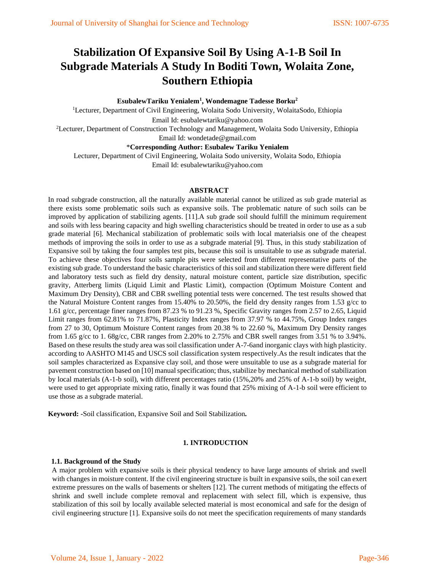# **Stabilization Of Expansive Soil By Using A-1-B Soil In Subgrade Materials A Study In Boditi Town, Wolaita Zone, Southern Ethiopia**

**EsubalewTariku Yenialem<sup>1</sup> , Wondemagne Tadesse Borku<sup>2</sup>**

<sup>1</sup>Lecturer, Department of Civil Engineering, Wolaita Sodo University, WolaitaSodo, Ethiopia Email Id: esubalewtariku@yahoo.com <sup>2</sup>Lecturer, Department of Construction Technology and Management, Wolaita Sodo University, Ethiopia

Email Id: wondetade@gmail.com

\***Corresponding Author: Esubalew Tariku Yenialem**

Lecturer, Department of Civil Engineering, Wolaita Sodo university, Wolaita Sodo, Ethiopia Email Id: esubalewtariku@yahoo.com

#### **ABSTRACT**

In road subgrade construction, all the naturally available material cannot be utilized as sub grade material as there exists some problematic soils such as expansive soils. The problematic nature of such soils can be improved by application of stabilizing agents. [11].A sub grade soil should fulfill the minimum requirement and soils with less bearing capacity and high swelling characteristics should be treated in order to use as a sub grade material [6]. Mechanical stabilization of problematic soils with local materialsis one of the cheapest methods of improving the soils in order to use as a subgrade material [9]. Thus, in this study stabilization of Expansive soil by taking the four samples test pits, because this soil is unsuitable to use as subgrade material. To achieve these objectives four soils sample pits were selected from different representative parts of the existing sub grade. To understand the basic characteristics of this soil and stabilization there were different field and laboratory tests such as field dry density, natural moisture content, particle size distribution, specific gravity, Atterberg limits (Liquid Limit and Plastic Limit), compaction (Optimum Moisture Content and Maximum Dry Density), CBR and CBR swelling potential tests were concerned. The test results showed that the Natural Moisture Content ranges from 15.40% to 20.50%, the field dry density ranges from 1.53 g/cc to 1.61 g/cc, percentage finer ranges from 87.23 % to 91.23 %, Specific Gravity ranges from 2.57 to 2.65, Liquid Limit ranges from 62.81% to 71.87%, Plasticity Index ranges from 37.97 % to 44.75%, Group Index ranges from 27 to 30, Optimum Moisture Content ranges from 20.38 % to 22.60 %, Maximum Dry Density ranges from 1.65 g/cc to 1. 68g/cc, CBR ranges from 2.20% to 2.75% and CBR swell ranges from 3.51 % to 3.94%. Based on these results the study area was soil classification under A-7-6and inorganic clays with high plasticity. according to AASHTO M145 and USCS soil classification system respectively.As the result indicates that the soil samples characterized as Expansive clay soil, and those were unsuitable to use as a subgrade material for pavement construction based on [10] manual specification; thus, stabilize by mechanical method of stabilization by local materials (A-1-b soil), with different percentages ratio (15%,20% and 25% of A-1-b soil) by weight, were used to get appropriate mixing ratio, finally it was found that 25% mixing of A-1-b soil were efficient to use those as a subgrade material.

**Keyword: -**Soil classification, Expansive Soil and Soil Stabilization*.* 

### **1. INTRODUCTION**

#### **1.1. Background of the Study**

A major problem with expansive soils is their physical tendency to have large amounts of shrink and swell with changes in moisture content. If the civil engineering structure is built in expansive soils, the soil can exert extreme pressures on the walls of basements or shelters [12]. The current methods of mitigating the effects of shrink and swell include complete removal and replacement with select fill, which is expensive, thus stabilization of this soil by locally available selected material is most economical and safe for the design of civil engineering structure [1]. Expansive soils do not meet the specification requirements of many standards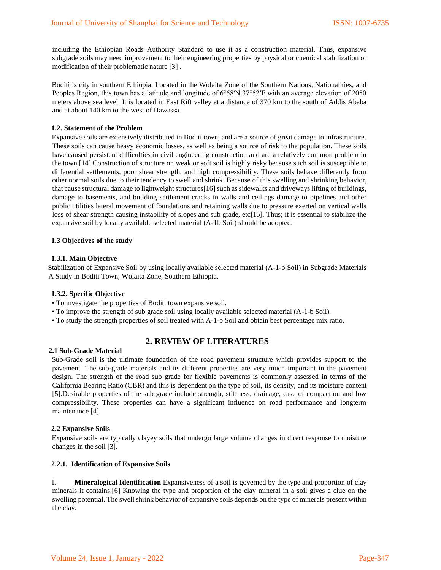including the Ethiopian Roads Authority Standard to use it as a construction material. Thus, expansive subgrade soils may need improvement to their engineering properties by physical or chemical stabilization or modification of their problematic nature [3] .

Boditi is city in southern Ethiopia. Located in the Wolaita Zone of the Southern Nations, Nationalities, and Peoples Region, this town has a latitude and longitude of 6°58′N 37°52′E with an average elevation of 2050 meters above sea level. It is located in East Rift valley at a distance of 370 km to the south of Addis Ababa and at about 140 km to the west of Hawassa.

#### **1.2. Statement of the Problem**

Expansive soils are extensively distributed in Boditi town, and are a source of great damage to infrastructure. These soils can cause heavy economic losses, as well as being a source of risk to the population. These soils have caused persistent difficulties in civil engineering construction and are a relatively common problem in the town.[14] Construction of structure on weak or soft soil is highly risky because such soil is susceptible to differential settlements, poor shear strength, and high compressibility. These soils behave differently from other normal soils due to their tendency to swell and shrink. Because of this swelling and shrinking behavior, that cause structural damage to lightweight structures[16] such as sidewalks and driveways lifting of buildings, damage to basements, and building settlement cracks in walls and ceilings damage to pipelines and other public utilities lateral movement of foundations and retaining walls due to pressure exerted on vertical walls loss of shear strength causing instability of slopes and sub grade, etc[15]. Thus; it is essential to stabilize the expansive soil by locally available selected material (A-1b Soil) should be adopted.

#### **1.3 Objectives of the study**

#### **1.3.1. Main Objective**

Stabilization of Expansive Soil by using locally available selected material (A-1-b Soil) in Subgrade Materials A Study in Boditi Town, Wolaita Zone, Southern Ethiopia.

#### **1.3.2. Specific Objective**

- To investigate the properties of Boditi town expansive soil.
- To improve the strength of sub grade soil using locally available selected material (A-1-b Soil).
- To study the strength properties of soil treated with A-1-b Soil and obtain best percentage mix ratio.

# **2. REVIEW OF LITERATURES**

#### **2.1 Sub-Grade Material**

Sub-Grade soil is the ultimate foundation of the road pavement structure which provides support to the pavement. The sub-grade materials and its different properties are very much important in the pavement design. The strength of the road sub grade for flexible pavements is commonly assessed in terms of the California Bearing Ratio (CBR) and this is dependent on the type of soil, its density, and its moisture content [5].Desirable properties of the sub grade include strength, stiffness, drainage, ease of compaction and low compressibility. These properties can have a significant influence on road performance and longterm maintenance [4].

#### **2.2 Expansive Soils**

Expansive soils are typically clayey soils that undergo large volume changes in direct response to moisture changes in the soil [3].

#### **2.2.1. Identification of Expansive Soils**

I. **Mineralogical Identification** Expansiveness of a soil is governed by the type and proportion of clay minerals it contains.[6] Knowing the type and proportion of the clay mineral in a soil gives a clue on the swelling potential. The swell shrink behavior of expansive soils depends on the type of minerals present within the clay.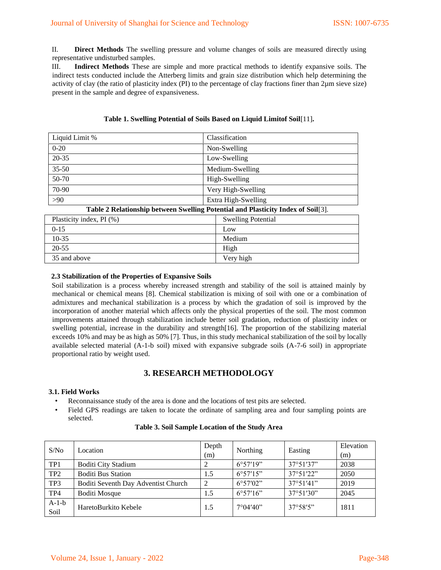II. **Direct Methods** The swelling pressure and volume changes of soils are measured directly using representative undisturbed samples.

III. **Indirect Methods** These are simple and more practical methods to identify expansive soils. The indirect tests conducted include the Atterberg limits and grain size distribution which help determining the activity of clay (the ratio of plasticity index (PI) to the percentage of clay fractions finer than 2µm sieve size) present in the sample and degree of expansiveness.

| Liquid Limit %           | Classification                                                                   |  |  |  |
|--------------------------|----------------------------------------------------------------------------------|--|--|--|
| $0 - 20$                 | Non-Swelling                                                                     |  |  |  |
| $20 - 35$                | Low-Swelling                                                                     |  |  |  |
| $35 - 50$                | Medium-Swelling                                                                  |  |  |  |
| 50-70                    | High-Swelling                                                                    |  |  |  |
| 70-90                    | Very High-Swelling                                                               |  |  |  |
| >90                      | Extra High-Swelling                                                              |  |  |  |
|                          | Table 2 Relationship between Swelling Potential and Plasticity Index of Soil[3]. |  |  |  |
| Plasticity index, PI (%) | <b>Swelling Potential</b>                                                        |  |  |  |
| $0 - 15$                 | Low                                                                              |  |  |  |
| $10-35$                  | Medium                                                                           |  |  |  |
| $20 - 55$                | High                                                                             |  |  |  |
| 35 and above             | Very high                                                                        |  |  |  |

## **Table 1. Swelling Potential of Soils Based on Liquid Limitof Soil**[11]**.**

## **2.3 Stabilization of the Properties of Expansive Soils**

Soil stabilization is a process whereby increased strength and stability of the soil is attained mainly by mechanical or chemical means [8]. Chemical stabilization is mixing of soil with one or a combination of admixtures and mechanical stabilization is a process by which the gradation of soil is improved by the incorporation of another material which affects only the physical properties of the soil. The most common improvements attained through stabilization include better soil gradation, reduction of plasticity index or swelling potential, increase in the durability and strength[16]. The proportion of the stabilizing material exceeds 10% and may be as high as 50% [7]. Thus, in this study mechanical stabilization of the soil by locally available selected material (A-1-b soil) mixed with expansive subgrade soils (A-7-6 soil) in appropriate proportional ratio by weight used.

# **3. RESEARCH METHODOLOGY**

## **3.1. Field Works**

- Reconnaissance study of the area is done and the locations of test pits are selected.
- Field GPS readings are taken to locate the ordinate of sampling area and four sampling points are selected.

| S/No            | Location                            | Depth<br>(m)   | Northing          | Easting            | Elevation<br>(m) |
|-----------------|-------------------------------------|----------------|-------------------|--------------------|------------------|
| TP <sub>1</sub> | <b>Boditi City Stadium</b>          |                | $6^{\circ}57'19"$ | 37°51'37"          | 2038             |
| TP2             | <b>Boditi Bus Station</b>           | 1.5            | $6^{\circ}57'15"$ | 37°51'22"          | 2050             |
| TP3             | Boditi Seventh Day Adventist Church | $\overline{2}$ | $6^{\circ}57'02"$ | $37^{\circ}51'41"$ | 2019             |
| TP4             | <b>Boditi Mosque</b>                | 1.5            | $6^{\circ}57'16"$ | 37°51'30"          | 2045             |
| $A-1-b$<br>Soil | HaretoBurkito Kebele                | 1.5            | $7^{\circ}04'40"$ | $37^{\circ}58'5"$  | 1811             |

#### **Table 3. Soil Sample Location of the Study Area**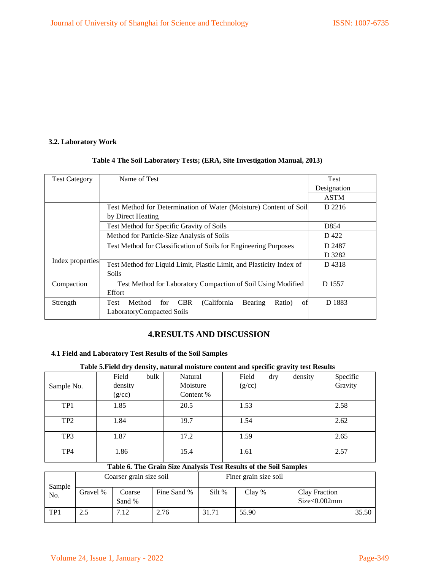# **3.2. Laboratory Work**

# **Table 4 The Soil Laboratory Tests; (ERA, Site Investigation Manual, 2013)**

| <b>Test Category</b> | Name of Test                                                                          | Test        |
|----------------------|---------------------------------------------------------------------------------------|-------------|
|                      |                                                                                       | Designation |
|                      |                                                                                       | <b>ASTM</b> |
|                      | Test Method for Determination of Water (Moisture) Content of Soil                     | D 2216      |
|                      | by Direct Heating                                                                     |             |
|                      | Test Method for Specific Gravity of Soils                                             | D854        |
|                      | Method for Particle-Size Analysis of Soils                                            | D 422       |
|                      | Test Method for Classification of Soils for Engineering Purposes                      | D 2487      |
|                      |                                                                                       | D 3282      |
| Index properties     | Test Method for Liquid Limit, Plastic Limit, and Plasticity Index of                  | D4318       |
|                      | Soils                                                                                 |             |
| Compaction           | Test Method for Laboratory Compaction of Soil Using Modified                          | D 1557      |
|                      | Effort                                                                                |             |
| Strength             | <b>CBR</b><br>(California)<br>Method<br>Bearing<br><b>Test</b><br>for<br>Ratio)<br>οf | D 1883      |
|                      | LaboratoryCompacted Soils                                                             |             |

# **4.RESULTS AND DISCUSSION**

## **4.1 Field and Laboratory Test Results of the Soil Samples**

# **Table 5.Field dry density, natural moisture content and specific gravity test Results**

| Sample No.      | bulk<br>Field<br>density<br>(g/cc) | Natural<br>Moisture<br>Content % | Field<br>dry<br>(g/cc) | density | Specific<br>Gravity |
|-----------------|------------------------------------|----------------------------------|------------------------|---------|---------------------|
| TP1             | 1.85                               | 20.5                             | 1.53                   |         | 2.58                |
| TP <sub>2</sub> | 1.84                               | 19.7                             | 1.54                   |         | 2.62                |
| TP3             | 1.87                               | 17.2                             | 1.59                   |         | 2.65                |
| TP4             | 1.86                               | 15.4                             | 1.61                   |         | 2.57                |

# **Table 6. The Grain Size Analysis Test Results of the Soil Samples**

|               |          | Coarser grain size soil |             |        | Finer grain size soil |                               |       |
|---------------|----------|-------------------------|-------------|--------|-----------------------|-------------------------------|-------|
| Sample<br>No. | Gravel % | Coarse<br>Sand %        | Fine Sand % | Silt % | Clay %                | Clay Fraction<br>Size<0.002mm |       |
| TP1           | 2.5      | 7.12                    | 2.76        | 31.71  | 55.90                 |                               | 35.50 |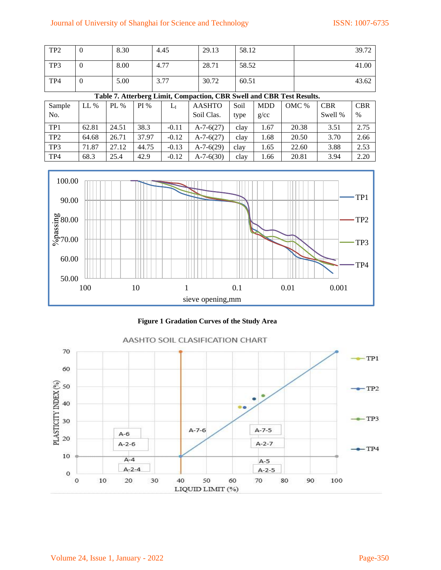# Journal of University of Shanghai for Science and Technology ISSN: 1007-6735

| TP <sub>2</sub> |   | 8.30 | 4.45 | 29.13 | 58.12 | 39.72 |
|-----------------|---|------|------|-------|-------|-------|
| TP3             | U | 8.00 | 4.77 | 28.71 | 58.52 | 41.00 |
| TP4             |   | 5.00 | 3.77 | 30.72 | 60.51 | 43.62 |

# **Table 7. Atterberg Limit, Compaction, CBR Swell and CBR Test Results.**

| Sample<br>No.   | $LL\%$ | PL %  | PI%   | Lı      | <b>AASHTO</b><br>Soil Clas. | Soil<br>type | <b>MDD</b><br>g/cc | OMC % | <b>CBR</b><br>Swell % | <b>CBR</b><br>$\%$ |
|-----------------|--------|-------|-------|---------|-----------------------------|--------------|--------------------|-------|-----------------------|--------------------|
|                 |        |       |       |         |                             |              |                    |       |                       |                    |
| TP1             | 62.81  | 24.51 | 38.3  | $-0.11$ | $A-7-6(27)$                 | clay         | 1.67               | 20.38 | 3.51                  | 2.75               |
| TP <sub>2</sub> | 64.68  | 26.71 | 37.97 | $-0.12$ | $A-7-6(27)$                 | clay         | 1.68               | 20.50 | 3.70                  | 2.66               |
| TP3             | 71.87  | 27.12 | 44.75 | $-0.13$ | $A-7-6(29)$                 | clay         | 1.65               | 22.60 | 3.88                  | 2.53               |
| TP4             | 68.3   | 25.4  | 42.9  | $-0.12$ | $A-7-6(30)$                 | clay         | 1.66               | 20.81 | 3.94                  | 2.20               |



**Figure 1 Gradation Curves of the Study Area** 

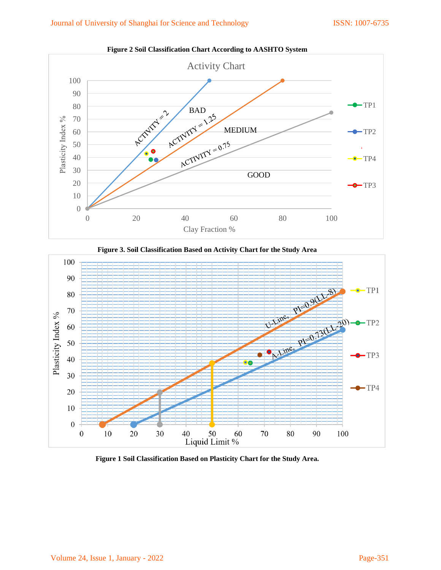

**Figure 2 Soil Classification Chart According to AASHTO System** 



**Figure 3. Soil Classification Based on Activity Chart for the Study Area** 

**Figure 1 Soil Classification Based on Plasticity Chart for the Study Area.** 

50

Liquid Limit %

60

70

80

90

100

40

30

10

20

 $20\,$ 

 $10\,$ 

 $\boldsymbol{0}$ 

 $\boldsymbol{0}$ 

 $\bullet$ TP4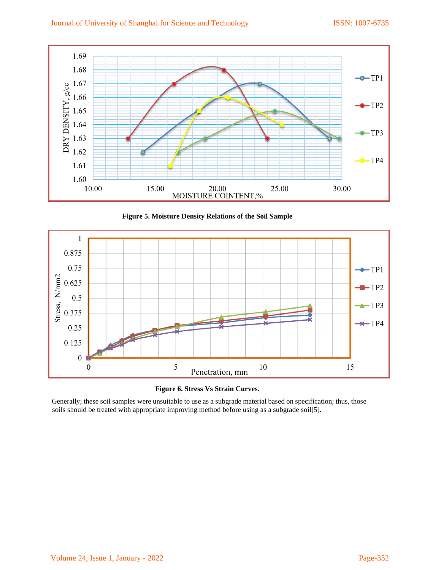

**Figure 5. Moisture Density Relations of the Soil Sample** 



**Figure 6. Stress Vs Strain Curves.** 

Generally; these soil samples were unsuitable to use as a subgrade material based on specification; thus, those soils should be treated with appropriate improving method before using as a subgrade soil[5].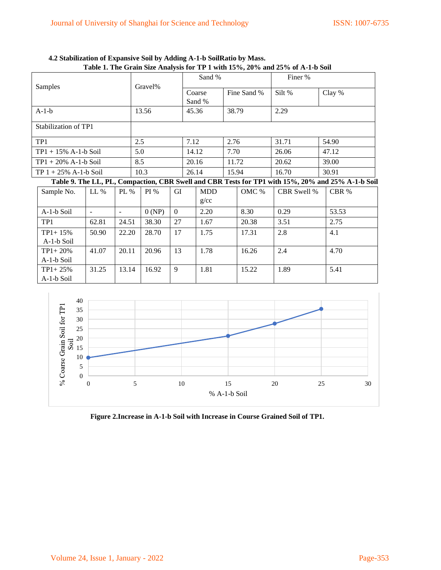| $1.0000$ is the organ play change of the $1.0000$ matrix $1.0000$ matrix $1.0000$ |                          |         |      |        |              |                |            |       |             |             |                                                                                                   |
|-----------------------------------------------------------------------------------|--------------------------|---------|------|--------|--------------|----------------|------------|-------|-------------|-------------|---------------------------------------------------------------------------------------------------|
|                                                                                   |                          | Gravel% |      | Sand % |              |                | Finer %    |       |             |             |                                                                                                   |
| Samples                                                                           |                          |         |      |        |              |                | Coarse     |       | Fine Sand % | Silt %      | Clay %                                                                                            |
|                                                                                   |                          |         |      |        |              |                | Sand %     |       |             |             |                                                                                                   |
| $A-1-b$                                                                           | 13.56                    |         |      |        | 45.36        |                | 38.79      |       | 2.29        |             |                                                                                                   |
| Stabilization of TP1                                                              |                          |         |      |        |              |                |            |       |             |             |                                                                                                   |
| TP <sub>1</sub>                                                                   |                          | 2.5     |      |        | 7.12<br>2.76 |                | 31.71      | 54.90 |             |             |                                                                                                   |
| $TP1 + 15\%$ A-1-b Soil                                                           |                          |         | 5.0  |        |              | 14.12<br>7.70  |            |       | 26.06       | 47.12       |                                                                                                   |
| $TP1 + 20\% A-1-b$ Soil                                                           |                          |         | 8.5  |        |              | 20.16          |            | 11.72 |             | 20.62       | 39.00                                                                                             |
| $TP 1 + 25\% A-1-b$ Soil                                                          |                          |         | 10.3 |        |              | 15.94<br>26.14 |            |       | 16.70       | 30.91       |                                                                                                   |
|                                                                                   |                          |         |      |        |              |                |            |       |             |             | Table 9. The LL, PL, Compaction, CBR Swell and CBR Tests for TP1 with 15%, 20% and 25% A-1-b Soil |
| Sample No.                                                                        | $LL\%$                   | PL $%$  |      | PI%    | GI           |                | <b>MDD</b> |       | OMC %       | CBR Swell % | CBR %                                                                                             |
|                                                                                   |                          |         |      |        |              |                | g/cc       |       |             |             |                                                                                                   |
| A-1-b Soil                                                                        | $\overline{\phantom{a}}$ |         |      | 0(NP)  | $\Omega$     |                | 2.20       |       | 8.30        | 0.29        | 53.53                                                                                             |

TP1 62.81 24.51 38.30 27 1.67 20.38 3.51 2.75

50.90 22.20 28.70 17 1.75 1.7.31 2.8 4.1

41.07 | 20.11 | 20.96 | 13 | 1.78 | 16.26 | 2.4 | 4.70

31.25 13.14 16.92 9 1.81 15.22 1.89 5.41

| 4.2 Stabilization of Expansive Soil by Adding A-1-b SoilRatio by Mass.        |
|-------------------------------------------------------------------------------|
| Table 1. The Grain Size Analysis for TP 1 with 15%, 20% and 25% of A-1-b Soil |





TP1+ 15% A-1-b Soil

TP1+ 20% A-1-b Soil

TP1+ 25% A-1-b Soil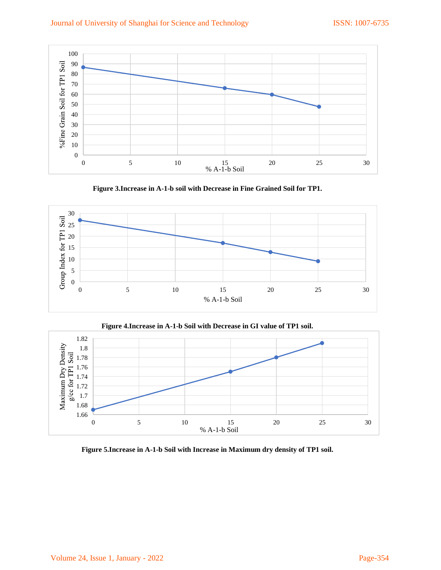# Journal of University of Shanghai for Science and Technology ISSN: 1007-6735



**Figure 3.Increase in A-1-b soil with Decrease in Fine Grained Soil for TP1.** 



**Figure 4.Increase in A-1-b Soil with Decrease in GI value of TP1 soil.** 



**Figure 5.Increase in A-1-b Soil with Increase in Maximum dry density of TP1 soil.**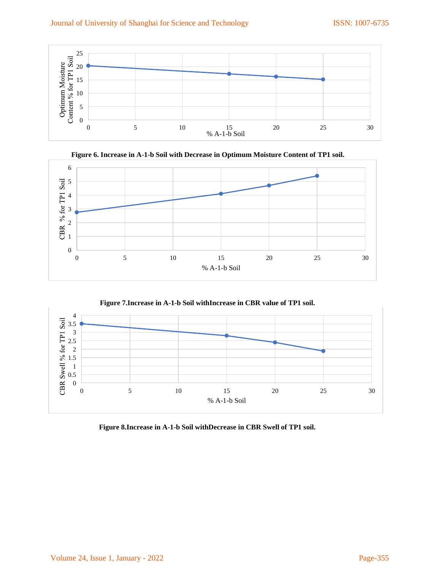





**Figure 7.Increase in A-1-b Soil withIncrease in CBR value of TP1 soil.** 



**Figure 8.Increase in A-1-b Soil withDecrease in CBR Swell of TP1 soil.**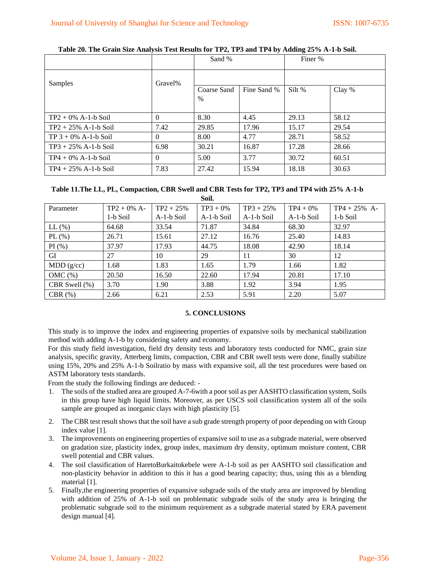|                         |          | Sand %              |             | Finer % |        |
|-------------------------|----------|---------------------|-------------|---------|--------|
| Samples                 | Gravel%  |                     |             |         |        |
|                         |          | Coarse Sand<br>$\%$ | Fine Sand % | Silt %  | Clay % |
| $TP2 + 0\% A-1-b$ Soil  | $\Omega$ | 8.30                | 4.45        | 29.13   | 58.12  |
| $TP2 + 25\% A-1-b$ Soil | 7.42     | 29.85               | 17.96       | 15.17   | 29.54  |
| $TP 3 + 0\% A-1-b$ Soil | $\Omega$ | 8.00                | 4.77        | 28.71   | 58.52  |
| $TP3 + 25\% A-1-b$ Soil | 6.98     | 30.21               | 16.87       | 17.28   | 28.66  |
| $TP4 + 0\% A-1-b$ Soil  | $\Omega$ | 5.00                | 3.77        | 30.72   | 60.51  |
| $TP4 + 25\% A-1-b$ Soil | 7.83     | 27.42               | 15.94       | 18.18   | 30.63  |

**Table 20. The Grain Size Analysis Test Results for TP2, TP3 and TP4 by Adding 25% A-1-b Soil.** 

# **Table 11.The LL, PL, Compaction, CBR Swell and CBR Tests for TP2, TP3 and TP4 with 25% A-1-b**

**Soil.** 

| Parameter        | $TP2 + 0\% A$ - | $TP2 + 25%$ | $TP3 + 0\%$ | $TP3 + 25%$ | $TP4 + 0\%$ | $TP4 + 25%$ A- |
|------------------|-----------------|-------------|-------------|-------------|-------------|----------------|
|                  | 1-b Soil        | A-1-b Soil  | A-1-b Soil  | A-1-b Soil  | A-1-b Soil  | 1-b Soil       |
| $LL$ $(\%)$      | 64.68           | 33.54       | 71.87       | 34.84       | 68.30       | 32.97          |
| $PL$ (%)         | 26.71           | 15.61       | 27.12       | 16.76       | 25.40       | 14.83          |
| PI(%)            | 37.97           | 17.93       | 44.75       | 18.08       | 42.90       | 18.14          |
| GI               | 27              | 10          | 29          | 11          | 30          | 12             |
| MDD(g/cc)        | 1.68            | 1.83        | 1.65        | 1.79        | 1.66        | 1.82           |
| $OMC(\%)$        | 20.50           | 16.50       | 22.60       | 17.94       | 20.81       | 17.10          |
| CBR Swell $(\%)$ | 3.70            | 1.90        | 3.88        | 1.92        | 3.94        | 1.95           |
| $CBR$ $(\%)$     | 2.66            | 6.21        | 2.53        | 5.91        | 2.20        | 5.07           |

## **5. CONCLUSIONS**

This study is to improve the index and engineering properties of expansive soils by mechanical stabilization method with adding A-1-b by considering safety and economy.

For this study field investigation, field dry density tests and laboratory tests conducted for NMC, grain size analysis, specific gravity, Atterberg limits, compaction, CBR and CBR swell tests were done, finally stabilize using 15%, 20% and 25% A-1-b Soilratio by mass with expansive soil, all the test procedures were based on ASTM laboratory tests standards.

From the study the following findings are deduced: -

- 1. The soils of the studied area are grouped A-7-6with a poor soil as per AASHTO classification system, Soils in this group have high liquid limits. Moreover, as per USCS soil classification system all of the soils sample are grouped as inorganic clays with high plasticity [5].
- 2. The CBR test result shows that the soil have a sub grade strength property of poor depending on with Group index value [1].
- 3. The improvements on engineering properties of expansive soil to use as a subgrade material, were observed on gradation size, plasticity index, group index, maximum dry density, optimum moisture content, CBR swell potential and CBR values.
- 4. The soil classification of HaretoBurkaitokebele were A-1-b soil as per AASHTO soil classification and non-plasticity behavior in addition to this it has a good bearing capacity; thus, using this as a blending material [1].
- 5. Finally,the engineering properties of expansive subgrade soils of the study area are improved by blending with addition of 25% of A-1-b soil on problematic subgrade soils of the study area is bringing the problematic subgrade soil to the minimum requirement as a subgrade material stated by ERA pavement design manual [4].